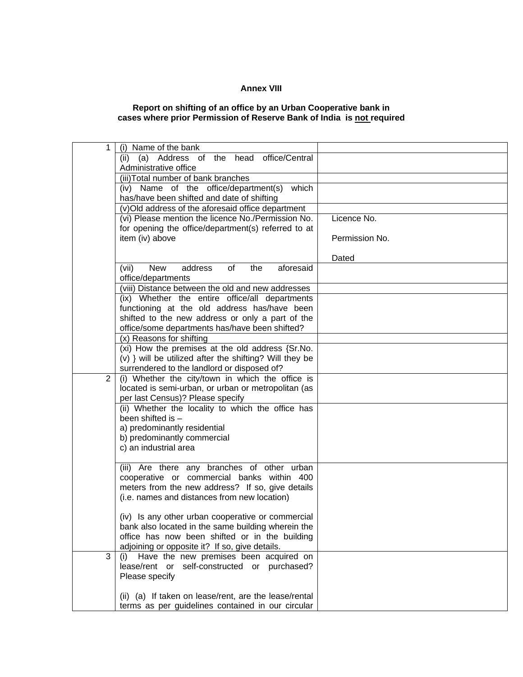## **Annex VIII**

## **Report on shifting of an office by an Urban Cooperative bank in cases where prior Permission of Reserve Bank of India is not required**

| 1              | (i) Name of the bank                                                                                        |                |
|----------------|-------------------------------------------------------------------------------------------------------------|----------------|
|                | (ii) (a) Address of the head office/Central                                                                 |                |
|                | Administrative office                                                                                       |                |
|                | (iii) Total number of bank branches                                                                         |                |
|                | (iv) Name of the office/department(s)<br>which                                                              |                |
|                | has/have been shifted and date of shifting                                                                  |                |
|                | (v)Old address of the aforesaid office department                                                           | Licence No.    |
|                | (vi) Please mention the licence No./Permission No.<br>for opening the office/department(s) referred to at   |                |
|                | item (iv) above                                                                                             | Permission No. |
|                |                                                                                                             |                |
|                |                                                                                                             | Dated          |
|                | of<br><b>New</b><br>address<br>the<br>aforesaid<br>(vii)                                                    |                |
|                | office/departments                                                                                          |                |
|                | (viii) Distance between the old and new addresses                                                           |                |
|                | (ix) Whether the entire office/all departments                                                              |                |
|                | functioning at the old address has/have been                                                                |                |
|                | shifted to the new address or only a part of the                                                            |                |
|                | office/some departments has/have been shifted?                                                              |                |
|                | (x) Reasons for shifting                                                                                    |                |
|                | (xi) How the premises at the old address {Sr.No.<br>(v) } will be utilized after the shifting? Will they be |                |
|                | surrendered to the landlord or disposed of?                                                                 |                |
| $\overline{2}$ | (i) Whether the city/town in which the office is                                                            |                |
|                | located is semi-urban, or urban or metropolitan (as                                                         |                |
|                | per last Census)? Please specify                                                                            |                |
|                | (ii) Whether the locality to which the office has                                                           |                |
|                | been shifted is -                                                                                           |                |
|                | a) predominantly residential                                                                                |                |
|                | b) predominantly commercial                                                                                 |                |
|                | c) an industrial area                                                                                       |                |
|                |                                                                                                             |                |
|                | (iii) Are there any branches of other urban                                                                 |                |
|                | cooperative or commercial banks within 400<br>meters from the new address? If so, give details              |                |
|                | (i.e. names and distances from new location)                                                                |                |
|                |                                                                                                             |                |
|                | (iv) Is any other urban cooperative or commercial                                                           |                |
|                | bank also located in the same building wherein the                                                          |                |
|                | office has now been shifted or in the building                                                              |                |
|                | adjoining or opposite it? If so, give details.                                                              |                |
| 3              | (i) Have the new premises been acquired on                                                                  |                |
|                | lease/rent or self-constructed or purchased?                                                                |                |
|                | Please specify                                                                                              |                |
|                |                                                                                                             |                |
|                | (ii) (a) If taken on lease/rent, are the lease/rental                                                       |                |
|                | terms as per guidelines contained in our circular                                                           |                |